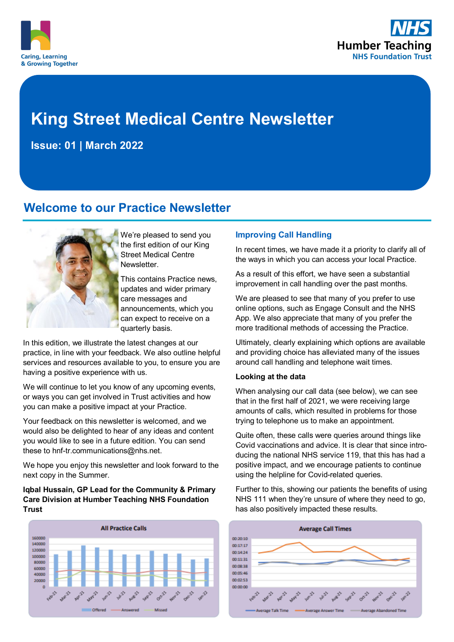



# **King Street Medical Centre Newsletter**

**Issue: 01 | March 2022**

# **Welcome to our Practice Newsletter**



We're pleased to send you the first edition of our King Street Medical Centre Newsletter.

This contains Practice news, updates and wider primary care messages and announcements, which you can expect to receive on a quarterly basis.

In this edition, we illustrate the latest changes at our practice, in line with your feedback. We also outline helpful services and resources available to you, to ensure you are having a positive experience with us.

We will continue to let you know of any upcoming events, or ways you can get involved in Trust activities and how you can make a positive impact at your Practice.

Your feedback on this newsletter is welcomed, and we would also be delighted to hear of any ideas and content you would like to see in a future edition. You can send these to hnf-tr.communications@nhs.net.

We hope you enjoy this newsletter and look forward to the next copy in the Summer.

**Iqbal Hussain, GP Lead for the Community & Primary Care Division at Humber Teaching NHS Foundation Trust** 



#### **Improving Call Handling**

In recent times, we have made it a priority to clarify all of the ways in which you can access your local Practice.

As a result of this effort, we have seen a substantial improvement in call handling over the past months.

We are pleased to see that many of you prefer to use online options, such as Engage Consult and the NHS App. We also appreciate that many of you prefer the more traditional methods of accessing the Practice.

Ultimately, clearly explaining which options are available and providing choice has alleviated many of the issues around call handling and telephone wait times.

#### **Looking at the data**

When analysing our call data (see below), we can see that in the first half of 2021, we were receiving large amounts of calls, which resulted in problems for those trying to telephone us to make an appointment.

Quite often, these calls were queries around things like Covid vaccinations and advice. It is clear that since introducing the national NHS service 119, that this has had a positive impact, and we encourage patients to continue using the helpline for Covid-related queries.

Further to this, showing our patients the benefits of using NHS 111 when they're unsure of where they need to go, has also positively impacted these results.

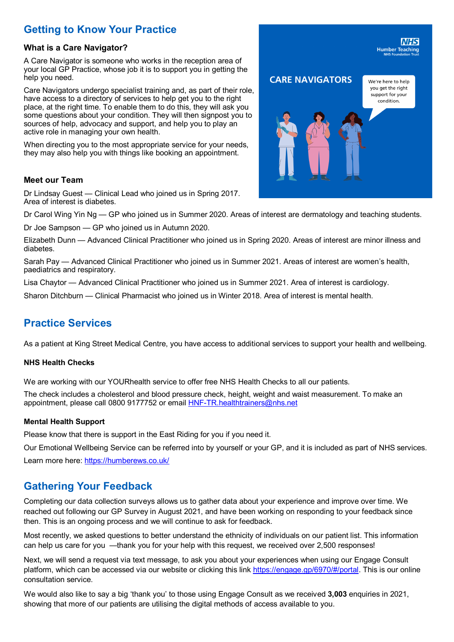# **Getting to Know Your Practice**

#### **What is a Care Navigator?**

A Care Navigator is someone who works in the reception area of your local GP Practice, whose job it is to support you in getting the help you need.

Care Navigators undergo specialist training and, as part of their role, have access to a directory of services to help get you to the right place, at the right time. To enable them to do this, they will ask you some questions about your condition. They will then signpost you to sources of help, advocacy and support, and help you to play an active role in managing your own health.

When directing you to the most appropriate service for your needs, they may also help you with things like booking an appointment.

#### **Meet our Team**

Dr Lindsay Guest — Clinical Lead who joined us in Spring 2017. Area of interest is diabetes.

Dr Carol Wing Yin Ng — GP who joined us in Summer 2020. Areas of interest are dermatology and teaching students.

Dr Joe Sampson — GP who joined us in Autumn 2020.

Elizabeth Dunn — Advanced Clinical Practitioner who joined us in Spring 2020. Areas of interest are minor illness and diabetes.

Sarah Pay — Advanced Clinical Practitioner who joined us in Summer 2021. Areas of interest are women's health, paediatrics and respiratory.

Lisa Chaytor — Advanced Clinical Practitioner who joined us in Summer 2021. Area of interest is cardiology.

Sharon Ditchburn — Clinical Pharmacist who joined us in Winter 2018. Area of interest is mental health.

# **Practice Services**

As a patient at King Street Medical Centre, you have access to additional services to support your health and wellbeing.

#### **NHS Health Checks**

We are working with our YOURhealth service to offer free NHS Health Checks to all our patients.

The check includes a cholesterol and blood pressure check, height, weight and waist measurement. To make an appointment, please call 0800 9177752 or email HNF-[TR.healthtrainers@nhs.net](mailto:HNF-TR.healthtrainers@nhs.net)

#### **Mental Health Support**

Please know that there is support in the East Riding for you if you need it.

Our Emotional Wellbeing Service can be referred into by yourself or your GP, and it is included as part of NHS services. Learn more here: <https://humberews.co.uk/>

## **Gathering Your Feedback**

Completing our data collection surveys allows us to gather data about your experience and improve over time. We reached out following our GP Survey in August 2021, and have been working on responding to your feedback since then. This is an ongoing process and we will continue to ask for feedback.

Most recently, we asked questions to better understand the ethnicity of individuals on our patient list. This information can help us care for you —thank you for your help with this request, we received over 2,500 responses!

next, we will send a request via text message, to ask you about your experiences when using our engage consult<br>platform, which can be accessed via our website or clicking this link <u>https://engage.gp/6970/#/portal</u>. This i Next, we will send a request via text message, to ask you about your experiences when using our Engage Consult consultation service.

We would also like to say a big 'thank you' to those using Engage Consult as we received **3,003** enquiries in 2021, showing that more of our patients are utilising the digital methods of access available to you.

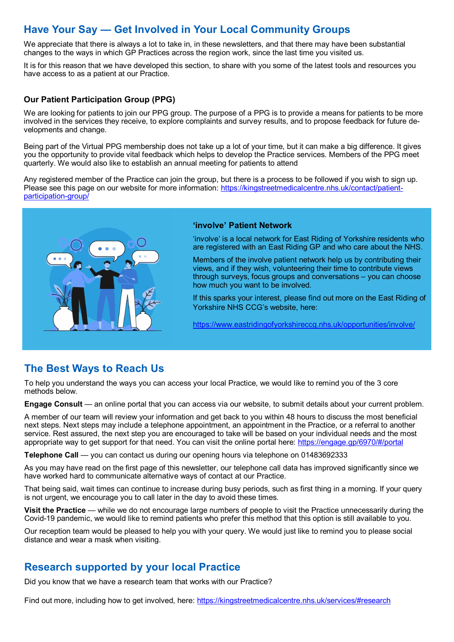# **Have Your Say — Get Involved in Your Local Community Groups**

We appreciate that there is always a lot to take in, in these newsletters, and that there may have been substantial changes to the ways in which GP Practices across the region work, since the last time you visited us.

It is for this reason that we have developed this section, to share with you some of the latest tools and resources you have access to as a patient at our Practice.

#### **Our Patient Participation Group (PPG)**

We are looking for patients to join our PPG group. The purpose of a PPG is to provide a means for patients to be more involved in the services they receive, to explore complaints and survey results, and to propose feedback for future developments and change.

Being part of the Virtual PPG membership does not take up a lot of your time, but it can make a big difference. It gives you the opportunity to provide vital feedback which helps to develop the Practice services. Members of the PPG meet quarterly. We would also like to establish an annual meeting for patients to attend

Any registered member of the Practice can join the group, but there is a process to be followed if you wish to sign up. Please see this page on our website for more information: [https://kingstreetmedicalcentre.nhs.uk/contact/patient](https://kingstreetmedicalcentre.nhs.uk/contact/patient-participation-group/)[participation](https://kingstreetmedicalcentre.nhs.uk/contact/patient-participation-group/)-group/



#### **'involve' Patient Network**

'involve' is a local network for East Riding of Yorkshire residents who are registered with an East Riding GP and who care about the NHS.

Members of the involve patient network help us by contributing their views, and if they wish, volunteering their time to contribute views through surveys, focus groups and conversations – you can choose how much you want to be involved.

If this sparks your interest, please find out more on the East Riding of Yorkshire NHS CCG's website, here:

<https://www.eastridingofyorkshireccg.nhs.uk/opportunities/involve/>

# **The Best Ways to Reach Us**

To help you understand the ways you can access your local Practice, we would like to remind you of the 3 core methods below.

**Engage Consult** — an online portal that you can access via our website, to submit details about your current problem.

A member of our team will review your information and get back to you within 48 hours to discuss the most beneficial next steps. Next steps may include a telephone appointment, an appointment in the Practice, or a referral to another service. Rest assured, the next step you are encouraged to take will be based on your individual needs and the most appropriate way to get support for that need. You can visit the online portal here: <https://engage.gp/6970/#/portal>

**Telephone Call** — you can contact us during our opening hours via telephone on 01483692333

As you may have read on the first page of this newsletter, our telephone call data has improved significantly since we have worked hard to communicate alternative ways of contact at our Practice.

That being said, wait times can continue to increase during busy periods, such as first thing in a morning. If your query is not urgent, we encourage you to call later in the day to avoid these times.

**Visit the Practice** — while we do not encourage large numbers of people to visit the Practice unnecessarily during the Covid-19 pandemic, we would like to remind patients who prefer this method that this option is still available to you.

Our reception team would be pleased to help you with your query. We would just like to remind you to please social distance and wear a mask when visiting.

## **Research supported by your local Practice**

Did you know that we have a research team that works with our Practice?

Find out more, including how to get involved, here: <https://kingstreetmedicalcentre.nhs.uk/services/#research>